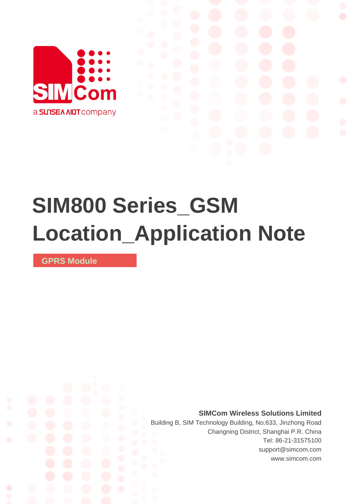

# **SIM800 Series\_GSM Location\_Application Note**

**GPRS Module** 

**SIMCom Wireless Solutions Limited**

Building B, SIM Technology Building, No.633, Jinzhong Road Changning District, Shanghai P.R. China Tel: 86-21-31575100 support@simcom.com www.simcom.com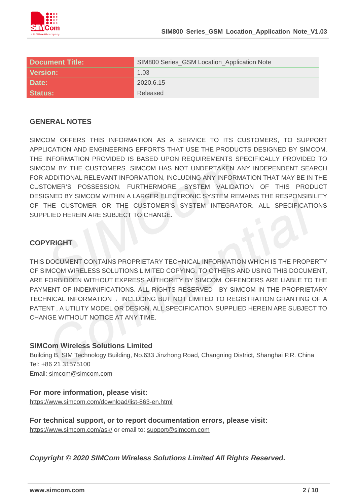

| <b>Document Title:</b> | SIM800 Series_GSM Location_Application Note |
|------------------------|---------------------------------------------|
| <b>Version:</b>        | 1.03                                        |
| Date:                  | 2020.6.15                                   |
| <b>Status:</b>         | Released                                    |

#### **GENERAL NOTES**

SIMCOM OFFERS THIS INFORMATION AS A SERVICE TO ITS CUSTOMERS, TO SUPPORT APPLICATION AND ENGINEERING EFFORTS THAT USE THE PRODUCTS DESIGNED BY SIMCOM. THE INFORMATION PROVIDED IS BASED UPON REQUIREMENTS SPECIFICALLY PROVIDED TO SIMCOM BY THE CUSTOMERS. SIMCOM HAS NOT UNDERTAKEN ANY INDEPENDENT SEARCH FOR ADDITIONAL RELEVANT INFORMATION, INCLUDING ANY INFORMATION THAT MAY BE IN THE CUSTOMER'S POSSESSION. FURTHERMORE, SYSTEM VALIDATION OF THIS PRODUCT DESIGNED BY SIMCOM WITHIN A LARGER ELECTRONIC SYSTEM REMAINS THE RESPONSIBILITY OF THE CUSTOMER OR THE CUSTOMER'S SYSTEM INTEGRATOR. ALL SPECIFICATIONS SUPPLIED HEREIN ARE SUBJECT TO CHANGE.

#### **COPYRIGHT**

THIS DOCUMENT CONTAINS PROPRIETARY TECHNICAL INFORMATION WHICH IS THE PROPERTY OF SIMCOM WIRELESS SOLUTIONS LIMITED COPYING, TO OTHERS AND USING THIS DOCUMENT, ARE FORBIDDEN WITHOUT EXPRESS AUTHORITY BY SIMCOM. OFFENDERS ARE LIABLE TO THE PAYMENT OF INDEMNIFICATIONS. ALL RIGHTS RESERVED BY SIMCOM IN THE PROPRIETARY TECHNICAL INFORMATION , INCLUDING BUT NOT LIMITED TO REGISTRATION GRANTING OF A PATENT , A UTILITY MODEL OR DESIGN. ALL SPECIFICATION SUPPLIED HEREIN ARE SUBJECT TO CHANGE WITHOUT NOTICE AT ANY TIME.

#### **SIMCom Wireless Solutions Limited**

Building B, SIM Technology Building, No.633 Jinzhong Road, Changning District, Shanghai P.R. China Tel: +86 21 31575100

Email: [simcom@simcom.com](mailto:simcom@simcom.com)

#### **For more information, please visit:**

<https://www.simcom.com/download/list-863-en.html>

**For technical support, or to report documentation errors, please visit:**

https://www.simcom.com/ask/ or email to: [support@simcom.com](mailto:support@simcom.com)

*Copyright © 2020 SIMCom Wireless Solutions Limited All Rights Reserved.*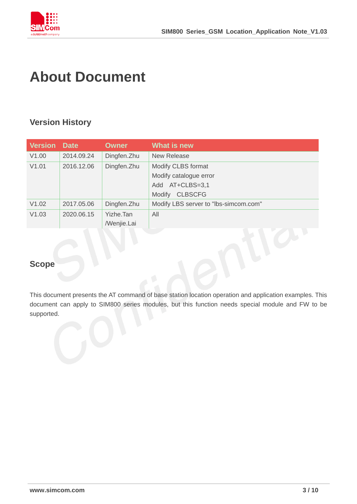

# <span id="page-2-0"></span>**About Document**

# <span id="page-2-1"></span>**Version History**

| <b>Version</b> | <b>Date</b> | <b>Owner</b> | What is new                           |
|----------------|-------------|--------------|---------------------------------------|
| V1.00          | 2014.09.24  | Dingfen.Zhu  | <b>New Release</b>                    |
| V1.01          | 2016.12.06  | Dingfen.Zhu  | Modify CLBS format                    |
|                |             |              | Modify catalogue error                |
|                |             |              | $AT+CLBS=3,1$<br>Add                  |
|                |             |              | <b>CLBSCFG</b><br>Modify              |
| V1.02          | 2017.05.06  | Dingfen.Zhu  | Modify LBS server to "Ibs-simcom.com" |
| V1.03          | 2020.06.15  | Yizhe.Tan    | All                                   |
|                |             | /Wenjie.Lai  |                                       |

# <span id="page-2-2"></span>**Scope**

This document presents the AT command of base station location operation and application examples. This document can apply to SIM800 series modules, but this function needs special module and FW to be supported.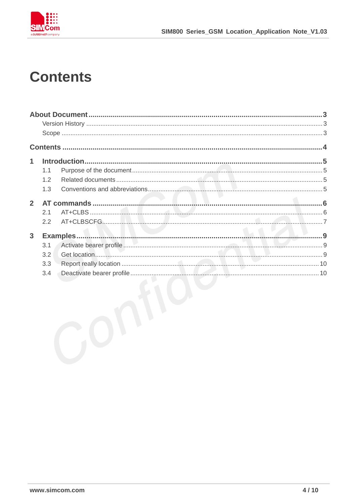

# <span id="page-3-0"></span>**Contents**

| 1              |     |  |
|----------------|-----|--|
|                | 1.1 |  |
|                | 1.2 |  |
|                | 1.3 |  |
| $\overline{2}$ |     |  |
|                | 2.1 |  |
|                | 2.2 |  |
|                |     |  |
| $\mathbf{3}$   |     |  |
|                | 3.1 |  |
|                | 3.2 |  |
|                | 3.3 |  |
|                | 3.4 |  |
|                |     |  |
|                |     |  |
|                |     |  |
|                |     |  |
|                |     |  |
|                |     |  |
|                |     |  |
|                |     |  |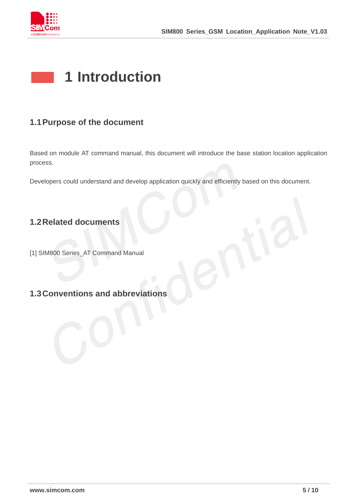

# <span id="page-4-0"></span>**1 Introduction**

# <span id="page-4-1"></span>**1.1Purpose of the document**

Based on module AT command manual, this document will introduce the base station location application process.

Developers could understand and develop application quickly and efficiently based on this document.

# <span id="page-4-2"></span>**1.2Related documents**

[1] SIM800 Series\_AT Command Manual

# <span id="page-4-3"></span>**1.3Conventions and abbreviations**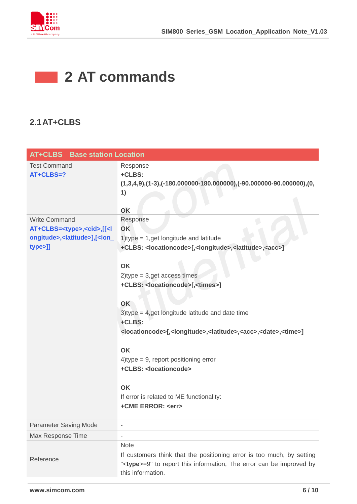

# <span id="page-5-0"></span>**2 AT commands**

# <span id="page-5-1"></span>**2.1AT+CLBS**

| <b>AT+CLBS</b> Base station Location                                                                                  |                                                                                                                                                      |
|-----------------------------------------------------------------------------------------------------------------------|------------------------------------------------------------------------------------------------------------------------------------------------------|
| <b>Test Command</b><br>AT+CLBS=?                                                                                      | Response<br>+CLBS:                                                                                                                                   |
|                                                                                                                       | $(1,3,4,9), (1-3), (-180.000000-180.000000), (-90.000000-90.000000), (0,$                                                                            |
|                                                                                                                       | 1)                                                                                                                                                   |
|                                                                                                                       |                                                                                                                                                      |
|                                                                                                                       | OK                                                                                                                                                   |
| <b>Write Command</b>                                                                                                  | Response                                                                                                                                             |
| AT+CLBS= <type>,<cid>,[[<l< td=""><td>OK</td></l<></cid></type>                                                       | OK                                                                                                                                                   |
| ongitude>, <latitude>],[<lon_< td=""><td>1) type <math>= 1</math>, get longitude and latitude</td></lon_<></latitude> | 1) type $= 1$ , get longitude and latitude                                                                                                           |
| type>]]                                                                                                               | +CLBS: <locationcode>[,<longitude>,<latitude>,<acc>]</acc></latitude></longitude></locationcode>                                                     |
|                                                                                                                       | <b>OK</b>                                                                                                                                            |
|                                                                                                                       | $2$ )type = 3,get access times                                                                                                                       |
|                                                                                                                       | +CLBS: <locationcode>[,<times>]</times></locationcode>                                                                                               |
|                                                                                                                       |                                                                                                                                                      |
|                                                                                                                       | OK                                                                                                                                                   |
|                                                                                                                       | $3$ )type = 4,get longitude latitude and date time                                                                                                   |
|                                                                                                                       | +CLBS:                                                                                                                                               |
|                                                                                                                       | <locationcode>[,<longitude>,<latitude>,<acc>,<date>,<time>]</time></date></acc></latitude></longitude></locationcode>                                |
|                                                                                                                       | OK                                                                                                                                                   |
|                                                                                                                       | $4$ ) type = 9, report positioning error                                                                                                             |
|                                                                                                                       | +CLBS: <locationcode></locationcode>                                                                                                                 |
|                                                                                                                       |                                                                                                                                                      |
|                                                                                                                       | <b>OK</b>                                                                                                                                            |
|                                                                                                                       | If error is related to ME functionality:                                                                                                             |
|                                                                                                                       | +CME ERROR: <err></err>                                                                                                                              |
| <b>Parameter Saving Mode</b>                                                                                          |                                                                                                                                                      |
| Max Response Time                                                                                                     | ÷                                                                                                                                                    |
|                                                                                                                       | <b>Note</b>                                                                                                                                          |
| Reference                                                                                                             | If customers think that the positioning error is too much, by setting<br>" <type>=9" to report this information, The error can be improved by</type> |
|                                                                                                                       | this information.                                                                                                                                    |
|                                                                                                                       |                                                                                                                                                      |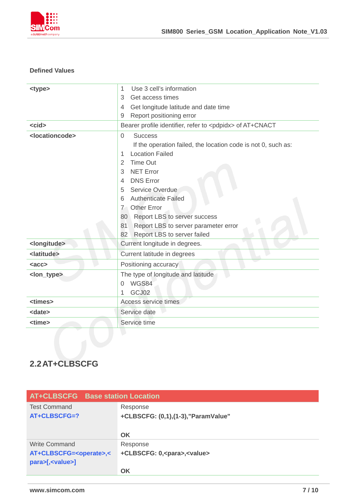

#### **Defined Values**

| <type><br/><cid><br/><locationcode></locationcode></cid></type> | Use 3 cell's information<br>1<br>3<br>Get access times<br>Get longitude latitude and date time<br>4<br>Report positioning error<br>$\overline{9}$<br>Bearer profile identifier, refer to <pdpidx> of AT+CNACT<br/><b>Success</b><br/><math>\overline{0}</math><br/>If the operation failed, the location code is not 0, such as:<br/><b>Location Failed</b><br/>1<br/><b>Time Out</b><br/><math>\overline{2}</math><br/><b>NET Error</b><br/>3<br/><b>DNS Error</b><br/><math>\overline{4}</math></pdpidx> |  |
|-----------------------------------------------------------------|------------------------------------------------------------------------------------------------------------------------------------------------------------------------------------------------------------------------------------------------------------------------------------------------------------------------------------------------------------------------------------------------------------------------------------------------------------------------------------------------------------|--|
|                                                                 | Service Overdue<br>5<br><b>Authenticate Failed</b><br>6<br><b>Other Error</b><br>$7^{\circ}$<br>Report LBS to server success<br>80<br>Report LBS to server parameter error<br>81<br>Report LBS to server failed<br>82                                                                                                                                                                                                                                                                                      |  |
| <longitude></longitude>                                         | Current longitude in degrees.                                                                                                                                                                                                                                                                                                                                                                                                                                                                              |  |
| <latitude></latitude>                                           | Current latitude in degrees                                                                                                                                                                                                                                                                                                                                                                                                                                                                                |  |
| $rac{c}{c}$                                                     | Positioning accuracy                                                                                                                                                                                                                                                                                                                                                                                                                                                                                       |  |
| <lon_type></lon_type>                                           | The type of longitude and latitude<br>WGS84<br>$\Omega$<br>GCJ02<br>1                                                                                                                                                                                                                                                                                                                                                                                                                                      |  |
| <times></times>                                                 | Access service times                                                                                                                                                                                                                                                                                                                                                                                                                                                                                       |  |
| <date></date>                                                   | Service date                                                                                                                                                                                                                                                                                                                                                                                                                                                                                               |  |
| <time></time>                                                   | Service time                                                                                                                                                                                                                                                                                                                                                                                                                                                                                               |  |
|                                                                 |                                                                                                                                                                                                                                                                                                                                                                                                                                                                                                            |  |

# <span id="page-6-0"></span>**2.2AT+CLBSCFG**

| AT+CLBSCFG Base station Location     |                                            |
|--------------------------------------|--------------------------------------------|
| <b>Test Command</b>                  | Response                                   |
| AT+CLBSCFG=?                         | +CLBSCFG: (0,1),(1-3), "ParamValue"        |
|                                      |                                            |
|                                      | OK                                         |
| Write Command                        | Response                                   |
| AT+CLBSCFG= <operate>,&lt;</operate> | +CLBSCFG: 0, <para>,<value></value></para> |
| para>[, <value>]</value>             |                                            |
|                                      | OK                                         |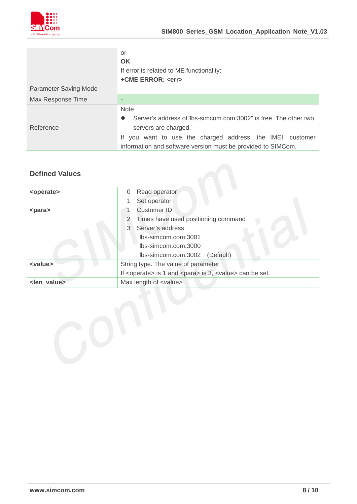

|                              | or                                                                           |  |
|------------------------------|------------------------------------------------------------------------------|--|
|                              | <b>OK</b>                                                                    |  |
|                              | If error is related to ME functionality:                                     |  |
|                              | +CME ERROR: <err></err>                                                      |  |
| <b>Parameter Saving Mode</b> |                                                                              |  |
| Max Response Time            |                                                                              |  |
|                              | <b>Note</b>                                                                  |  |
|                              | Server's address of lbs-simcom.com:3002" is free. The other two<br>$\bullet$ |  |
| Reference                    | servers are charged.                                                         |  |
|                              | If you want to use the charged address, the IMEI, customer                   |  |
|                              | information and software version must be provided to SIMCom.                 |  |

#### **Defined Values**

| <operate></operate>     | Read operator<br>0                                                              |  |
|-------------------------|---------------------------------------------------------------------------------|--|
|                         | Set operator<br>1                                                               |  |
| <para></para>           | Customer ID                                                                     |  |
|                         | Times have used positioning command<br>$\overline{2}$                           |  |
|                         | 3<br>Server's address                                                           |  |
|                         | Ibs-simcom.com:3001                                                             |  |
|                         | lbs-simcom.com:3000                                                             |  |
|                         | (Default)<br>lbs-simcom.com:3002                                                |  |
| <value></value>         | String type. The value of parameter                                             |  |
|                         | If <operate> is 1 and <para> is 3, <value> can be set.</value></para></operate> |  |
| <len_value></len_value> | Max length of <value></value>                                                   |  |
|                         |                                                                                 |  |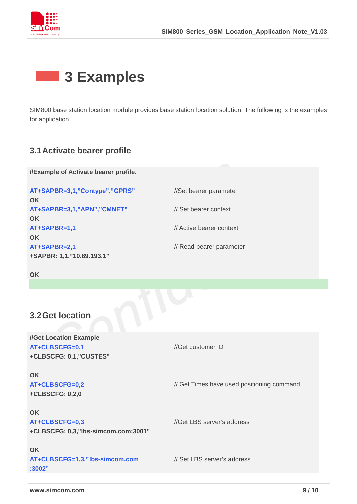<span id="page-8-0"></span>

# **3 Examples**

SIM800 base station location module provides base station location solution. The following is the examples for application.

### <span id="page-8-1"></span>**3.1Activate bearer profile**

**//Example of Activate bearer profile.**

**AT+SAPBR=3,1,"Contype","GPRS" OK AT+SAPBR=3,1,"APN","CMNET" OK AT+SAPBR=1,1 OK AT+SAPBR=2,1 +SAPBR: 1,1,"10.89.193.1"**

//Set bearer paramete

// Set bearer context

// Active bearer context

// Read bearer parameter

**OK**

### <span id="page-8-2"></span>**3.2Get location**

**//Get Location Example AT+CLBSCFG=0,1 +CLBSCFG: 0,1,"CUSTES" OK AT+CLBSCFG=0,2 +CLBSCFG: 0,2,0 OK** //Get customer ID // Get Times have used positioning command **AT+CLBSCFG=0,3 +CLBSCFG: 0,3,"lbs-simcom.com:3001" OK** //Get LBS server's address **AT+CLBSCFG=1,3,"lbs-simcom.com** // Set LBS server's address

**:3002"**